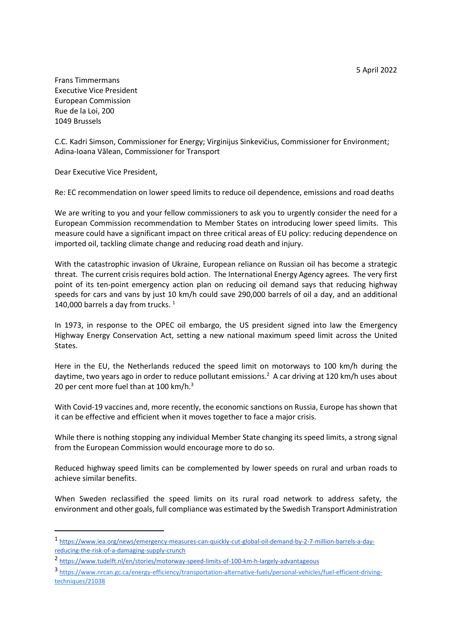5 April 2022

Frans Timmermans Executive Vice President European Commission Rue de la Loi, 200 1049 Brussels

C.C. Kadri Simson, Commissioner for Energy; Virginijus Sinkevičius, Commissioner for Environment; Adina-Ioana Vălean, Commissioner for Transport

Dear Executive Vice President,

-

Re: EC recommendation on lower speed limits to reduce oil dependence, emissions and road deaths

We are writing to you and your fellow commissioners to ask you to urgently consider the need for a European Commission recommendation to Member States on introducing lower speed limits. This measure could have a significant impact on three critical areas of EU policy: reducing dependence on imported oil, tackling climate change and reducing road death and injury.

With the catastrophic invasion of Ukraine, European reliance on Russian oil has become a strategic threat. The current crisis requires bold action. The International Energy Agency agrees. The very first point of its ten-point emergency action plan on reducing oil demand says that reducing highway speeds for cars and vans by just 10 km/h could save 290,000 barrels of oil a day, and an additional 140,000 barrels a day from trucks.  $1$ 

In 1973, in response to the OPEC oil embargo, the US president signed into law the Emergency Highway Energy Conservation Act, setting a new national maximum speed limit across the United States.

Here in the EU, the Netherlands reduced the speed limit on motorways to 100 km/h during the daytime, two years ago in order to reduce pollutant emissions.<sup>2</sup> A car driving at 120 km/h uses about 20 per cent more fuel than at 100 km/h.<sup>3</sup>

With Covid-19 vaccines and, more recently, the economic sanctions on Russia, Europe has shown that it can be effective and efficient when it moves together to face a major crisis.

While there is nothing stopping any individual Member State changing its speed limits, a strong signal from the European Commission would encourage more to do so.

Reduced highway speed limits can be complemented by lower speeds on rural and urban roads to achieve similar benefits.

When Sweden reclassified the speed limits on its rural road network to address safety, the environment and other goals, full compliance was estimated by the Swedish Transport Administration

<sup>1</sup> https://www.iea.org/news/emergency-measures-can-quickly-cut-global-oil-demand-by-2-7-million-barrels-a-dayreducing-the-risk-of-a-damaging-supply-crunch

<sup>2</sup> https://www.tudelft.nl/en/stories/motorway-speed-limits-of-100-km-h-largely-advantageous

<sup>3</sup> https://www.nrcan.gc.ca/energy-efficiency/transportation-alternative-fuels/personal-vehicles/fuel-efficient-drivingtechniques/21038